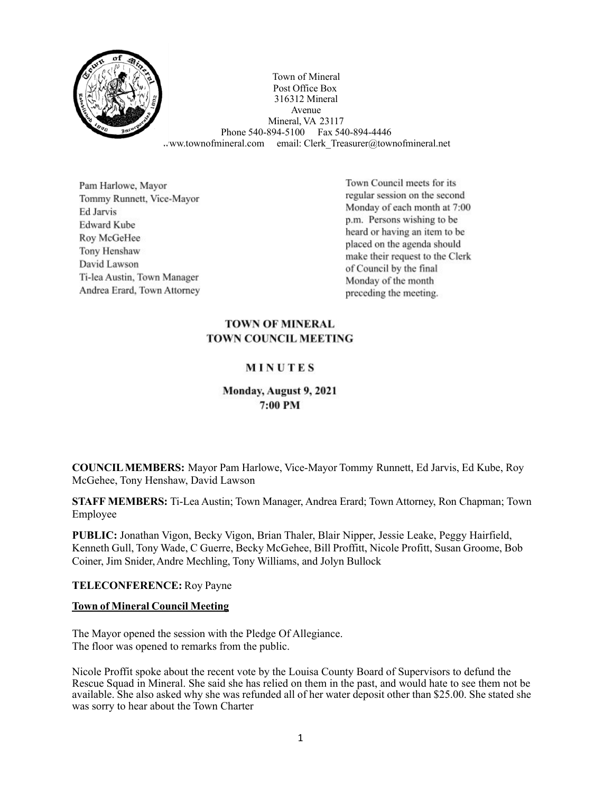

Town of Mineral Post Office Box 316312 Mineral Avenue Mineral, VA 23117 Phone 540-894-5100 Fax 540-894-4446 ww.townofmineral.com email: Clerk Treasurer@townofmineral.net

Pam Harlowe, Mayor Tommy Runnett, Vice-Mayor **Ed Jarvis Edward Kube** Roy McGeHee Tony Henshaw David Lawson Ti-lea Austin, Town Manager Andrea Erard, Town Attorney

Town Council meets for its regular session on the second Monday of each month at 7:00 p.m. Persons wishing to be heard or having an item to be placed on the agenda should make their request to the Clerk of Council by the final Monday of the month preceding the meeting.

#### **TOWN OF MINERAL TOWN COUNCIL MEETING**

# MINUTES

# Monday, August 9, 2021 7:00 PM

**COUNCILMEMBERS:** Mayor Pam Harlowe, Vice-Mayor Tommy Runnett, Ed Jarvis, Ed Kube, Roy McGehee, Tony Henshaw, David Lawson

**STAFF MEMBERS:** Ti-Lea Austin; Town Manager, Andrea Erard; Town Attorney, Ron Chapman; Town Employee

**PUBLIC:** Jonathan Vigon, Becky Vigon, Brian Thaler, Blair Nipper, Jessie Leake, Peggy Hairfield, Kenneth Gull, Tony Wade, C Guerre, Becky McGehee, Bill Proffitt, Nicole Profitt, Susan Groome, Bob Coiner, Jim Snider,Andre Mechling, Tony Williams, and Jolyn Bullock

**TELECONFERENCE:** Roy Payne

#### **Town of Mineral Council Meeting**

The Mayor opened the session with the Pledge Of Allegiance. The floor was opened to remarks from the public.

Nicole Proffit spoke about the recent vote by the Louisa County Board of Supervisors to defund the Rescue Squad in Mineral. She said she has relied on them in the past, and would hate to see them not be available. She also asked why she was refunded all of her water deposit other than \$25.00. She stated she was sorry to hear about the Town Charter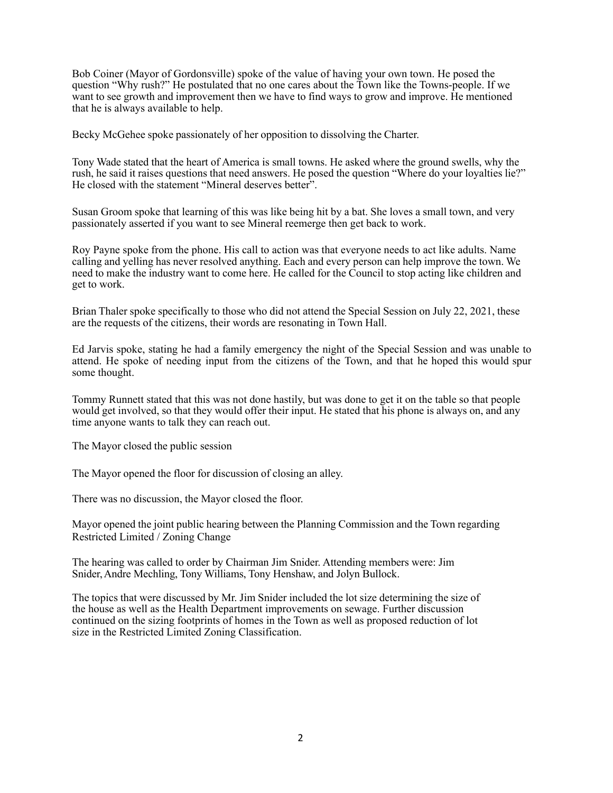Bob Coiner (Mayor of Gordonsville) spoke of the value of having your own town. He posed the question "Why rush?" He postulated that no one cares about the Town like the Towns-people. If we want to see growth and improvement then we have to find ways to grow and improve. He mentioned that he is always available to help.

Becky McGehee spoke passionately of her opposition to dissolving the Charter.

Tony Wade stated that the heart of America is small towns. He asked where the ground swells, why the rush, he said it raises questions that need answers. He posed the question "Where do your loyalties lie?" He closed with the statement "Mineral deserves better".

Susan Groom spoke that learning of this was like being hit by a bat. She loves a small town, and very passionately asserted if you want to see Mineral reemerge then get back to work.

Roy Payne spoke from the phone. His call to action was that everyone needs to act like adults. Name calling and yelling has never resolved anything. Each and every person can help improve the town. We need to make the industry want to come here. He called for the Council to stop acting like children and get to work.

Brian Thaler spoke specifically to those who did not attend the Special Session on July 22, 2021, these are the requests of the citizens, their words are resonating in Town Hall.

Ed Jarvis spoke, stating he had a family emergency the night of the Special Session and was unable to attend. He spoke of needing input from the citizens of the Town, and that he hoped this would spur some thought.

Tommy Runnett stated that this was not done hastily, but was done to get it on the table so that people would get involved, so that they would offer their input. He stated that his phone is always on, and any time anyone wants to talk they can reach out.

The Mayor closed the public session

The Mayor opened the floor for discussion of closing an alley.

There was no discussion, the Mayor closed the floor.

Mayor opened the joint public hearing between the Planning Commission and the Town regarding Restricted Limited / Zoning Change

The hearing was called to order by Chairman Jim Snider. Attending members were: Jim Snider,Andre Mechling, Tony Williams, Tony Henshaw, and Jolyn Bullock.

The topics that were discussed by Mr. Jim Snider included the lot size determining the size of the house as well as the Health Department improvements on sewage. Further discussion continued on the sizing footprints of homes in the Town as well as proposed reduction of lot size in the Restricted Limited Zoning Classification.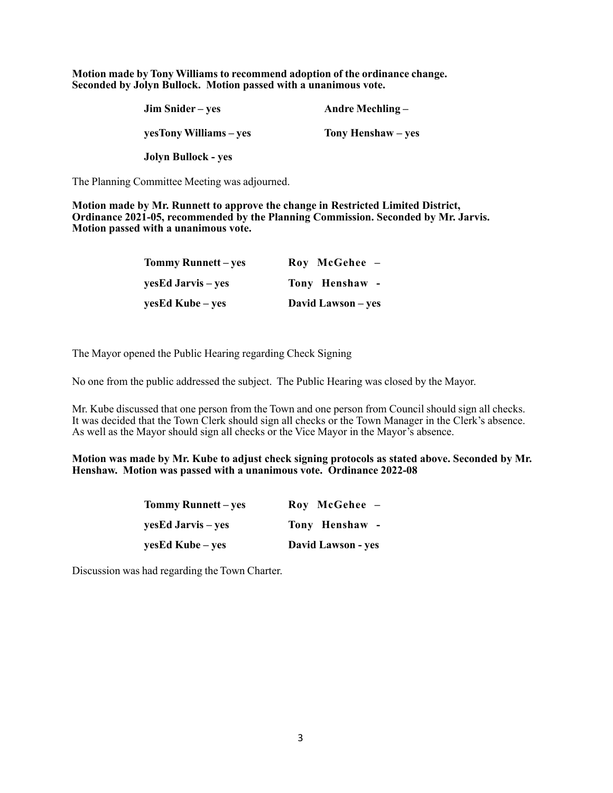**Motion made by Tony Williams to recommend adoption of the ordinance change. Seconded by Jolyn Bullock. Motion passed with a unanimous vote.**

| Jim Snider – yes       | Andre Mechling $-$ |  |
|------------------------|--------------------|--|
| vesTony Williams – ves | Tony Henshaw – yes |  |
| Jolyn Bullock - yes    |                    |  |

The Planning Committee Meeting was adjourned.

**Motion made by Mr. Runnett to approve the change in Restricted Limited District, Ordinance 2021-05, recommended by the Planning Commission. Seconded by Mr. Jarvis. Motion passed with a unanimous vote.**

| Tommy Runnett – yes | Roy McGehee -      |  |
|---------------------|--------------------|--|
| yesEd Jarvis – yes  | Tony Henshaw -     |  |
| yesEd Kube – yes    | David Lawson – yes |  |

The Mayor opened the Public Hearing regarding Check Signing

No one from the public addressed the subject. The Public Hearing was closed by the Mayor.

Mr. Kube discussed that one person from the Town and one person from Council should sign all checks. It was decided that the Town Clerk should sign all checks or the Town Manager in the Clerk's absence. As well as the Mayor should sign all checks or the Vice Mayor in the Mayor's absence.

**Motion was made by Mr. Kube to adjust check signing protocols as stated above. Seconded by Mr. Henshaw. Motion was passed with a unanimous vote. Ordinance 2022-08**

| Tommy Runnett – yes | Roy McGehee -      |  |
|---------------------|--------------------|--|
| yesEd Jarvis – yes  | Tony Henshaw -     |  |
| yesEd Kube – yes    | David Lawson - yes |  |

Discussion was had regarding the Town Charter.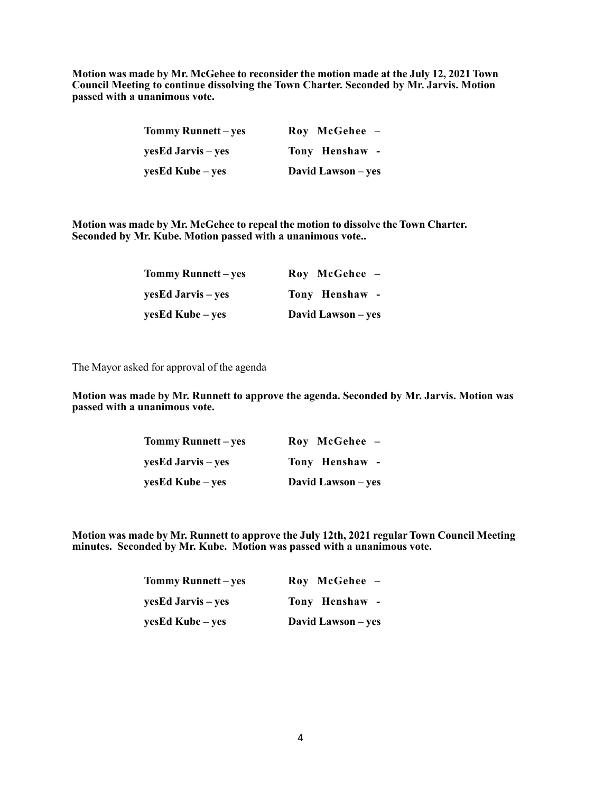**Motion was made by Mr. McGehee to reconsider the motion made at the July 12, 2021 Town Council Meeting to continue dissolving the Town Charter. Seconded by Mr. Jarvis. Motion passed with a unanimous vote.**

| Tommy Runnett – yes | $\bf Roy\,\,\, McGehee$ - |  |
|---------------------|---------------------------|--|
| yesEd Jarvis – yes  | Tony Henshaw -            |  |
| yesEd Kube – yes    | David Lawson – yes        |  |

**Motion was made by Mr. McGehee to repeal the motion to dissolve the Town Charter. Seconded by Mr. Kube. Motion passed with a unanimous vote..**

| Tommy Runnett – yes | Roy McGehee -      |
|---------------------|--------------------|
| yesEd Jarvis – yes  | Tony Henshaw -     |
| yesEd Kube – yes    | David Lawson – yes |

The Mayor asked for approval of the agenda

**Motion was made by Mr. Runnett to approve the agenda. Seconded by Mr. Jarvis. Motion was passed with a unanimous vote.**

| <b>Tommy Runnett – yes</b> | Roy McGehee -      |
|----------------------------|--------------------|
| yesEd Jarvis – yes         | Tony Henshaw -     |
| yesEd Kube – yes           | David Lawson – yes |

**Motion was made by Mr. Runnett to approve the July 12th, 2021 regularTown Council Meeting minutes. Seconded by Mr. Kube. Motion was passed with a unanimous vote.**

| Tommy Runnett – yes | Roy McGehee -      |  |
|---------------------|--------------------|--|
| yesEd Jarvis – yes  | Tony Henshaw -     |  |
| yesEd Kube – yes    | David Lawson – yes |  |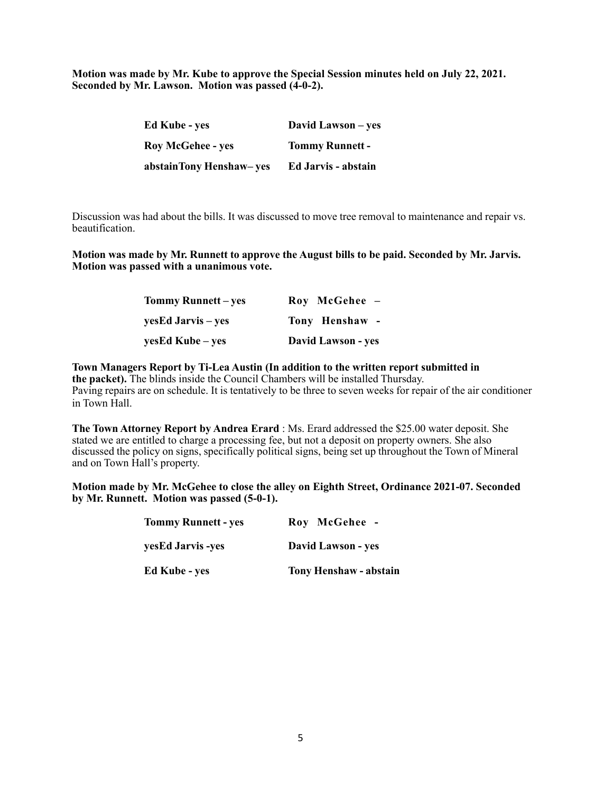**Motion was made by Mr. Kube to approve the Special Session minutes held on July 22, 2021. Seconded by Mr. Lawson. Motion was passed (4-0-2).**

| <b>Ed Kube</b> - yes     | David Lawson – yes     |
|--------------------------|------------------------|
| <b>Roy McGehee - yes</b> | <b>Tommy Runnett -</b> |
| abstainTony Henshaw-yes  | Ed Jarvis - abstain    |

Discussion was had about the bills. It was discussed to move tree removal to maintenance and repair vs. beautification.

**Motion was made by Mr. Runnett to approve the August bills to be paid. Seconded by Mr. Jarvis. Motion was passed with a unanimous vote.**

| Tommy Runnett – yes | Roy McGehee -      |  |
|---------------------|--------------------|--|
| yesEd Jarvis – yes  | Tony Henshaw -     |  |
| yesEd Kube – yes    | David Lawson - yes |  |

**Town Managers Report by Ti-Lea Austin (In addition to the written report submitted in the packet).** The blinds inside the Council Chambers will be installed Thursday. Paving repairs are on schedule. It is tentatively to be three to seven weeks for repair of the air conditioner in Town Hall.

**The Town Attorney Report by Andrea Erard** : Ms. Erard addressed the \$25.00 water deposit. She stated we are entitled to charge a processing fee, but not a deposit on property owners. She also discussed the policy on signs, specifically political signs, being set up throughout the Town of Mineral and on Town Hall's property.

**Motion made by Mr. McGehee to close the alley on Eighth Street, Ordinance 2021-07. Seconded by Mr. Runnett. Motion was passed (5-0-1).**

| <b>Tommy Runnett - yes</b> | Roy McGehee -                 |
|----------------------------|-------------------------------|
| yesEd Jarvis -yes          | David Lawson - yes            |
| <b>Ed Kube - yes</b>       | <b>Tony Henshaw - abstain</b> |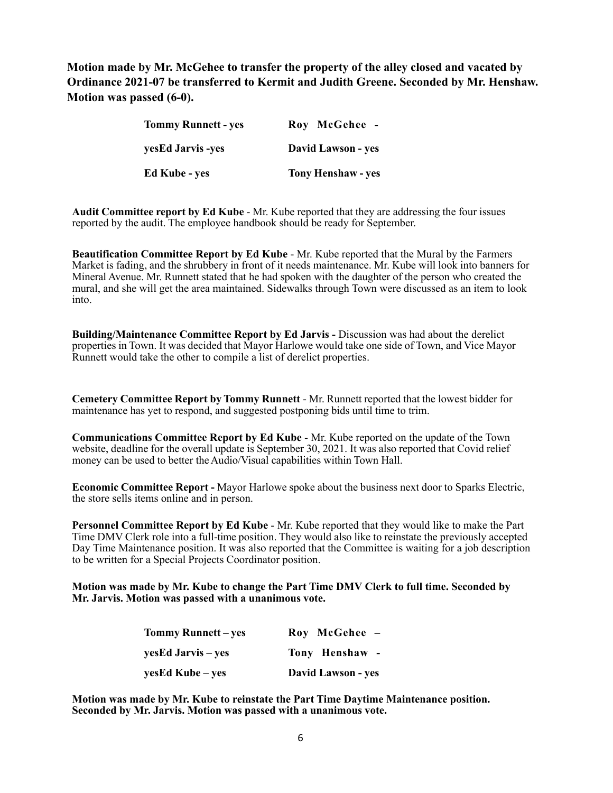**Motion made by Mr. McGehee to transfer the property of the alley closed and vacated by Ordinance 2021-07 be transferred to Kermit and Judith Greene. Seconded by Mr. Henshaw. Motion was passed (6-0).**

| <b>Tommy Runnett - yes</b> | Roy McGehee -             |
|----------------------------|---------------------------|
| yesEd Jarvis -yes          | <b>David Lawson - yes</b> |
| <b>Ed Kube - yes</b>       | <b>Tony Henshaw - yes</b> |

**Audit Committee report by Ed Kube** - Mr. Kube reported that they are addressing the four issues reported by the audit. The employee handbook should be ready for September.

**Beautification Committee Report by Ed Kube** - Mr. Kube reported that the Mural by the Farmers Market is fading, and the shrubbery in front of it needs maintenance. Mr. Kube will look into banners for Mineral Avenue. Mr. Runnett stated that he had spoken with the daughter of the person who created the mural, and she will get the area maintained. Sidewalks through Town were discussed as an item to look into.

**Building/Maintenance Committee Report by Ed Jarvis -** Discussion was had about the derelict properties in Town. It was decided that Mayor Harlowe would take one side of Town, and Vice Mayor Runnett would take the other to compile a list of derelict properties.

**Cemetery Committee Report by Tommy Runnett** - Mr. Runnett reported that the lowest bidder for maintenance has yet to respond, and suggested postponing bids until time to trim.

**Communications Committee Report by Ed Kube** - Mr. Kube reported on the update of the Town website, deadline for the overall update is September 30, 2021. It was also reported that Covid relief money can be used to better the Audio/Visual capabilities within Town Hall.

**Economic Committee Report -** Mayor Harlowe spoke about the business next door to Sparks Electric, the store sells items online and in person.

**Personnel Committee Report by Ed Kube** - Mr. Kube reported that they would like to make the Part Time DMV Clerk role into a full-time position. They would also like to reinstate the previously accepted Day Time Maintenance position. It was also reported that the Committee is waiting for a job description to be written for a Special Projects Coordinator position.

**Motion was made by Mr. Kube to change the Part Time DMV Clerk to full time. Seconded by Mr. Jarvis. Motion was passed with a unanimous vote.**

| Tommy Runnett – yes | Roy McGehee -      |
|---------------------|--------------------|
| yesEd Jarvis – yes  | Tony Henshaw -     |
| yesEd Kube – yes    | David Lawson - yes |

**Motion was made by Mr. Kube to reinstate the Part Time Daytime Maintenance position. Seconded by Mr. Jarvis. Motion was passed with a unanimous vote.**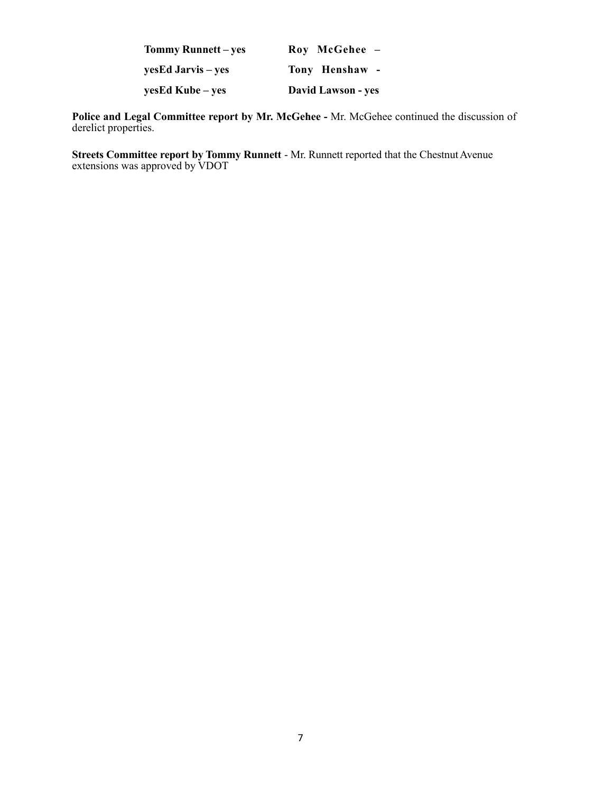| Tommy Runnett – yes | Roy McGehee -      |
|---------------------|--------------------|
| yesEd Jarvis – yes  | Tony Henshaw -     |
| yesEd Kube – yes    | David Lawson - yes |

**Police and Legal Committee report by Mr. McGehee -** Mr. McGehee continued the discussion of derelict properties.

**Streets Committee report by Tommy Runnett** - Mr. Runnett reported that the Chestnut Avenue extensions was approved by VDOT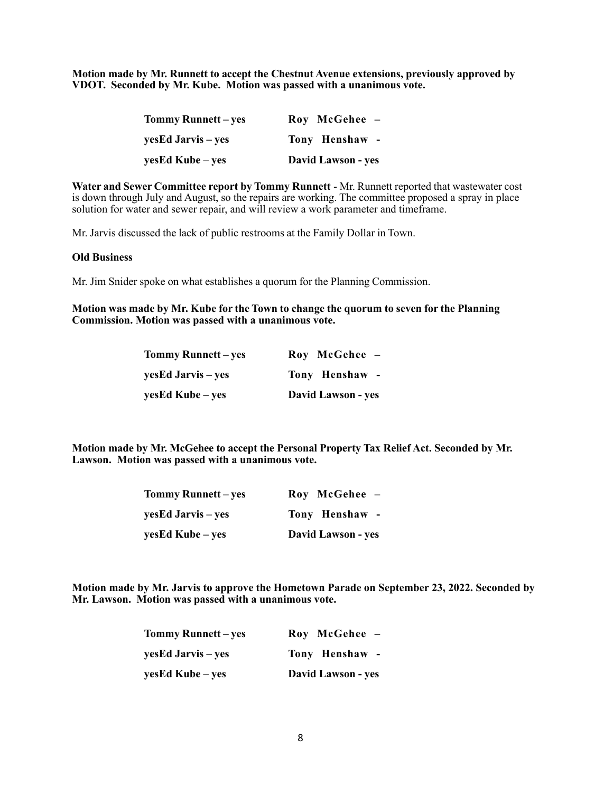**Motion made by Mr. Runnett to accept the Chestnut Avenue extensions, previously approved by VDOT. Seconded by Mr. Kube. Motion was passed with a unanimous vote.**

| Tommy Runnett – yes | Roy McGehee -             |
|---------------------|---------------------------|
| yesEd Jarvis – yes  | Tony Henshaw -            |
| yesEd Kube – yes    | <b>David Lawson - yes</b> |

**Water and Sewer Committee report by Tommy Runnett** - Mr. Runnett reported that wastewater cost is down through July and August, so the repairs are working. The committee proposed a spray in place solution for water and sewer repair, and will review a work parameter and timeframe.

Mr. Jarvis discussed the lack of public restrooms at the Family Dollar in Town.

#### **Old Business**

Mr. Jim Snider spoke on what establishes a quorum for the Planning Commission.

#### **Motion was made by Mr. Kube for the Town to change the quorum to seven for the Planning Commission. Motion was passed with a unanimous vote.**

| Tommy Runnett – yes | Roy McGehee -      |
|---------------------|--------------------|
| yesEd Jarvis – yes  | Tony Henshaw -     |
| yesEd Kube – yes    | David Lawson - yes |

**Motion made by Mr. McGehee to accept the Personal Property Tax Relief Act. Seconded by Mr. Lawson. Motion was passed with a unanimous vote.**

| <b>Tommy Runnett</b> – yes | Roy McGehee -      |
|----------------------------|--------------------|
| yesEd Jarvis – yes         | Tony Henshaw -     |
| yesEd Kube – yes           | David Lawson - yes |

**Motion made by Mr. Jarvis to approve the Hometown Parade on September 23, 2022. Seconded by Mr. Lawson. Motion was passed with a unanimous vote.**

| Tommy Runnett – yes | Roy McGehee -      |
|---------------------|--------------------|
| yesEd Jarvis – yes  | Tony Henshaw -     |
| yesEd Kube – yes    | David Lawson - yes |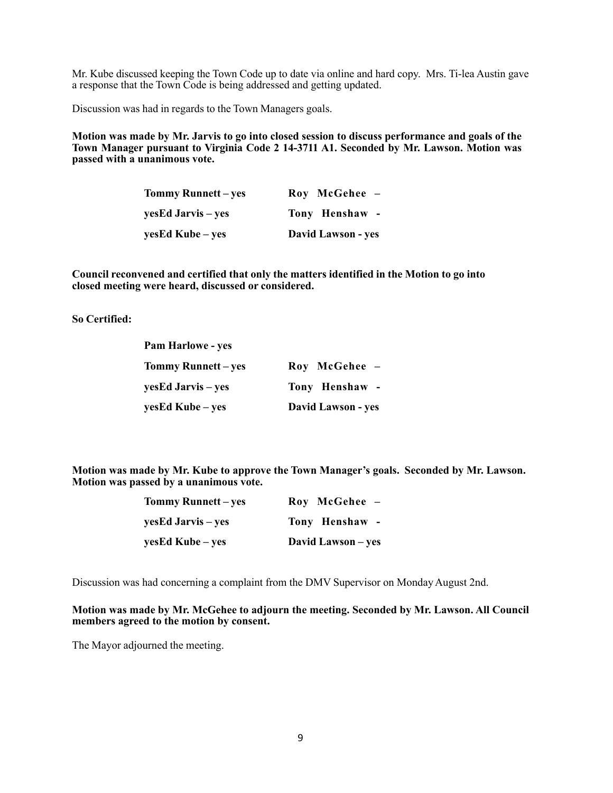Mr. Kube discussed keeping the Town Code up to date via online and hard copy. Mrs. Ti-lea Austin gave a response that the Town Code is being addressed and getting updated.

Discussion was had in regards to the Town Managers goals.

**Motion was made by Mr. Jarvis to go into closed session to discuss performance and goals of the Town Manager pursuant to Virginia Code 2 14-3711 A1. Seconded by Mr. Lawson. Motion was passed with a unanimous vote.**

| Tommy Runnett – yes | Roy McGehee -      |
|---------------------|--------------------|
| yesEd Jarvis – yes  | Tony Henshaw -     |
| yesEd Kube – yes    | David Lawson - yes |

**Council reconvened and certified that only the matters identified in the Motion to go into closed meeting were heard, discussed or considered.**

**So Certified:**

| <b>Pam Harlowe - yes</b> |                    |
|--------------------------|--------------------|
| Tommy Runnett – yes      | Roy McGehee -      |
| yesEd Jarvis – yes       | Tony Henshaw -     |
| yesEd Kube – yes         | David Lawson - yes |

**Motion was made by Mr. Kube to approve the Town Manager's goals. Seconded by Mr. Lawson. Motion was passed by a unanimous vote.**

| Tommy Runnett – yes | Roy McGehee -      |
|---------------------|--------------------|
| yesEd Jarvis – yes  | Tony Henshaw -     |
| yesEd Kube – yes    | David Lawson – yes |

Discussion was had concerning a complaint from the DMV Supervisor on MondayAugust 2nd.

**Motion was made by Mr. McGehee to adjourn the meeting. Seconded by Mr. Lawson. All Council members agreed to the motion by consent.**

The Mayor adjourned the meeting.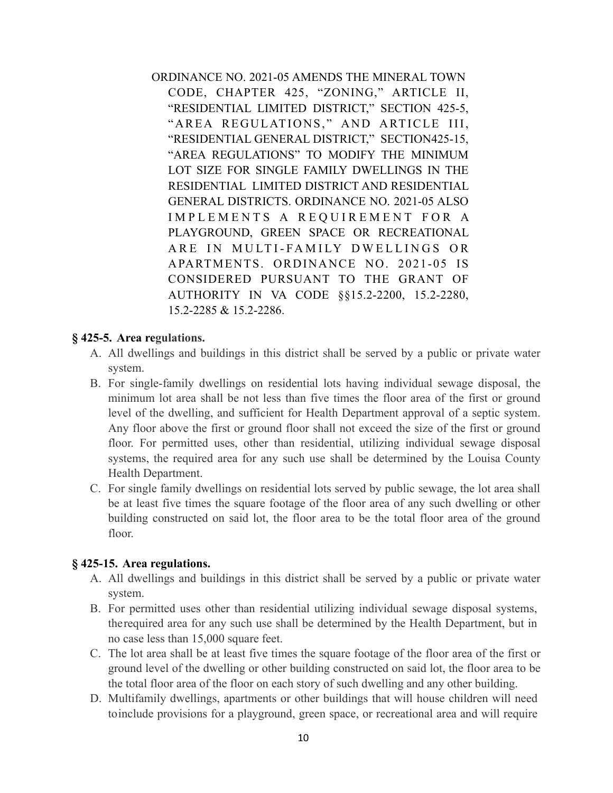ORDINANCE NO. 2021-05 AMENDS THE MINERAL TOWN CODE, CHAPTER 425, "ZONING," ARTICLE II, "RESIDENTIAL LIMITED DISTRICT," SECTION 425-5, "AREA REGULATIONS," AND ARTICLE III, "RESIDENTIAL GENERAL DISTRICT," SECTION425-15, "AREA REGULATIONS" TO MODIFY THE MINIMUM LOT SIZE FOR SINGLE FAMILY DWELLINGS IN THE RESIDENTIAL LIMITED DISTRICT AND RESIDENTIAL GENERAL DISTRICTS. ORDINANCE NO. 2021-05 ALSO IMPLEMENTS A REQUIREMENT FOR A PLAYGROUND, GREEN SPACE OR RECREATIONAL ARE IN MULTI-FAMILY DWELLINGS OR APARTMENTS. ORDINANCE NO. 2021-05 IS CONSIDERED PURSUANT TO THE GRANT OF AUTHORITY IN VA CODE §§15.2-2200, 15.2-2280, 15.2-2285 & 15.2-2286.

# **§ 425-5. Area [regulations.](https://ecode360.com/12069281#12069281)**

- A. All dwellings and buildings in this district shall be served by a public or private water system.
- B. For single-family dwellings on residential lots having individual sewage disposal, the minimum lot area shall be not less than five times the floor area of the first or ground level of the dwelling, and sufficient for Health Department approval of a septic system. Any floor above the first or ground floor shall not exceed the size of the first or ground floor. For permitted uses, other than residential, utilizing individual sewage disposal systems, the required area for any such use shall be determined by the Louisa County Health Department.
- C. For single family dwellings on residential lots served by public sewage, the lot area shall be at least five times the square footage of the floor area of any such dwelling or other building constructed on said lot, the floor area to be the total floor area of the ground floor.

# **§ 425-15. Area [regulations.](https://ecode360.com/12069306#12069306)**

- A. All dwellings and buildings in this district shall be served by a public or private water system.
- B. For permitted uses other than residential utilizing individual sewage disposal systems, therequired area for any such use shall be determined by the Health Department, but in no case less than 15,000 square feet.
- C. The lot area shall be at least five times the square footage of the floor area of the first or ground level of the dwelling or other building constructed on said lot, the floor area to be the total floor area of the floor on each story of such dwelling and any other building.
- D. Multifamily dwellings, apartments or other buildings that will house children will need toinclude provisions for a playground, green space, or recreational area and will require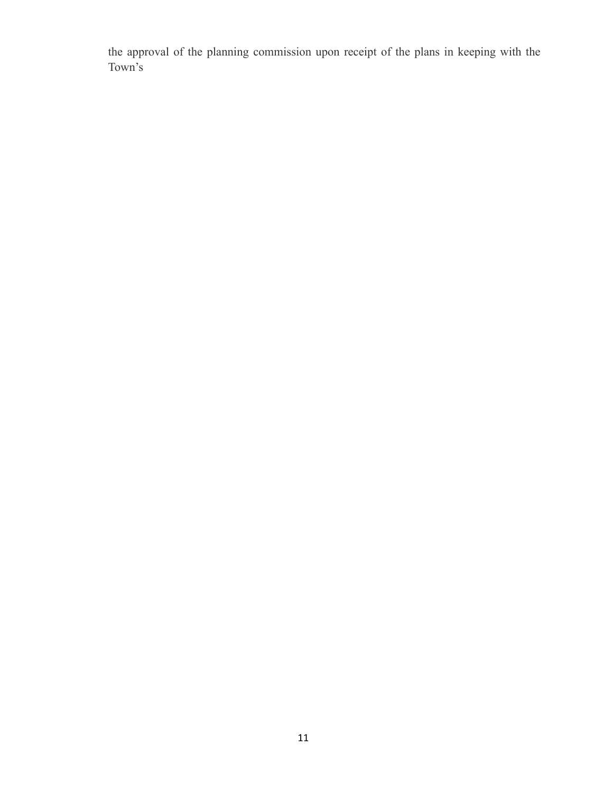the approval of the planning commission upon receipt of the plans in keeping with the Town's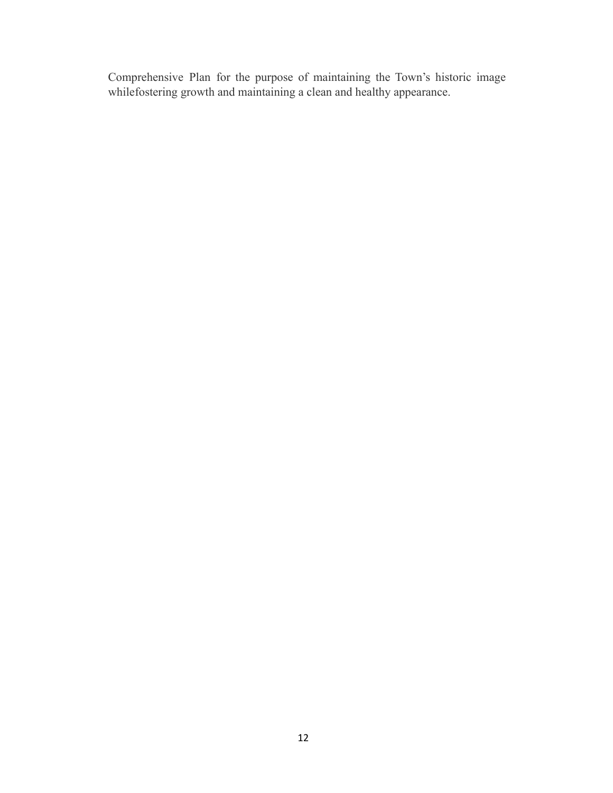Comprehensive Plan for the purpose of maintaining the Town's historic image whilefostering growth and maintaining a clean and healthy appearance.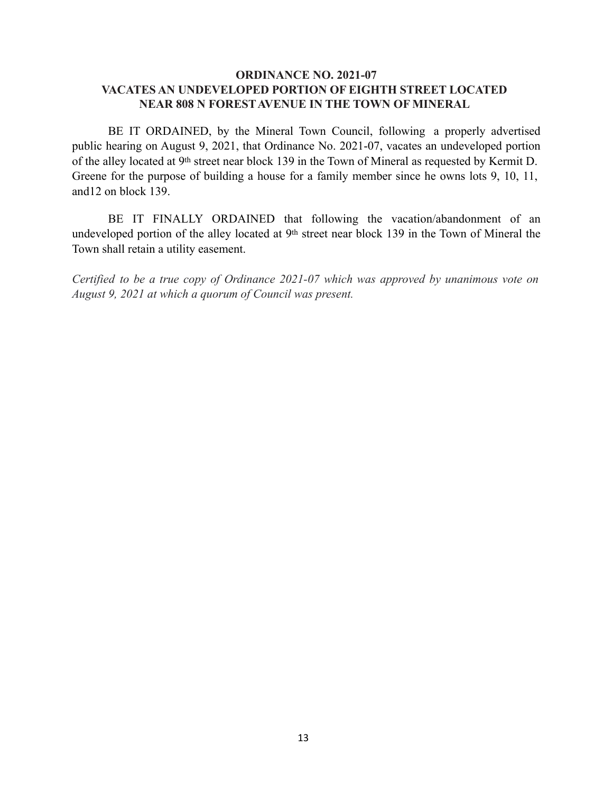### **ORDINANCE NO. 2021-07 VACATES AN UNDEVELOPED PORTION OF EIGHTH STREET LOCATED NEAR 808 N FORESTAVENUE IN THE TOWN OF MINERAL**

BE IT ORDAINED, by the Mineral Town Council, following a properly advertised public hearing on August 9, 2021, that Ordinance No. 2021-07, vacates an undeveloped portion of the alley located at 9th street near block 139 in the Town of Mineral as requested by Kermit D. Greene for the purpose of building a house for a family member since he owns lots 9, 10, 11, and12 on block 139.

BE IT FINALLY ORDAINED that following the vacation/abandonment of an undeveloped portion of the alley located at 9th street near block 139 in the Town of Mineral the Town shall retain a utility easement.

*Certified to be a true copy of Ordinance 2021-07 which was approved by unanimous vote on August 9, 2021 at which a quorum of Council was present.*